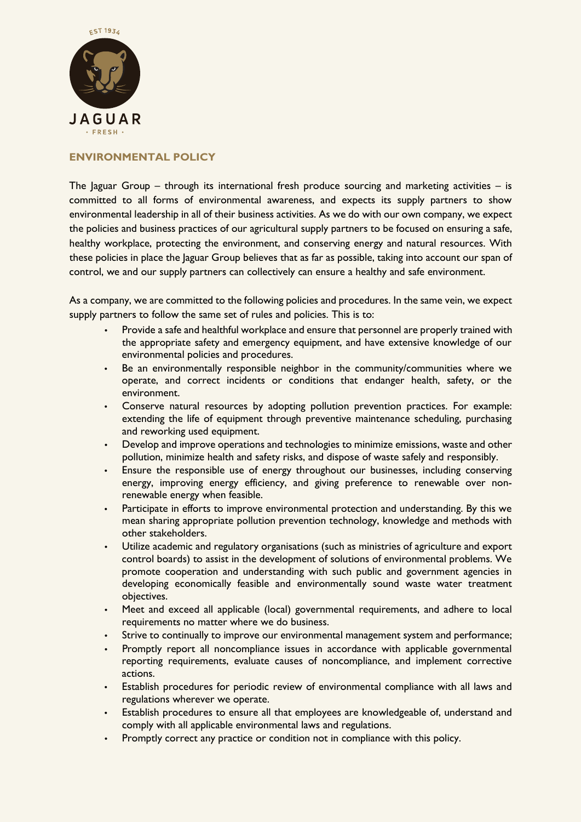

# **ENVIRONMENTAL POLICY**

The Jaguar Group – through its international fresh produce sourcing and marketing activities – is committed to all forms of environmental awareness, and expects its supply partners to show environmental leadership in all of their business activities. As we do with our own company, we expect the policies and business practices of our agricultural supply partners to be focused on ensuring a safe, healthy workplace, protecting the environment, and conserving energy and natural resources. With these policies in place the Jaguar Group believes that as far as possible, taking into account our span of control, we and our supply partners can collectively can ensure a healthy and safe environment.

As a company, we are committed to the following policies and procedures. In the same vein, we expect supply partners to follow the same set of rules and policies. This is to:

- Provide a safe and healthful workplace and ensure that personnel are properly trained with the appropriate safety and emergency equipment, and have extensive knowledge of our environmental policies and procedures.
- Be an environmentally responsible neighbor in the community/communities where we operate, and correct incidents or conditions that endanger health, safety, or the environment.
- Conserve natural resources by adopting pollution prevention practices. For example: extending the life of equipment through preventive maintenance scheduling, purchasing and reworking used equipment.
- Develop and improve operations and technologies to minimize emissions, waste and other pollution, minimize health and safety risks, and dispose of waste safely and responsibly.
- Ensure the responsible use of energy throughout our businesses, including conserving energy, improving energy efficiency, and giving preference to renewable over nonrenewable energy when feasible.
- Participate in efforts to improve environmental protection and understanding. By this we mean sharing appropriate pollution prevention technology, knowledge and methods with other stakeholders.
- Utilize academic and regulatory organisations (such as ministries of agriculture and export control boards) to assist in the development of solutions of environmental problems. We promote cooperation and understanding with such public and government agencies in developing economically feasible and environmentally sound waste water treatment objectives.
- Meet and exceed all applicable (local) governmental requirements, and adhere to local requirements no matter where we do business.
- Strive to continually to improve our environmental management system and performance;
- Promptly report all noncompliance issues in accordance with applicable governmental reporting requirements, evaluate causes of noncompliance, and implement corrective actions.
- Establish procedures for periodic review of environmental compliance with all laws and regulations wherever we operate.
- Establish procedures to ensure all that employees are knowledgeable of, understand and comply with all applicable environmental laws and regulations.
- Promptly correct any practice or condition not in compliance with this policy.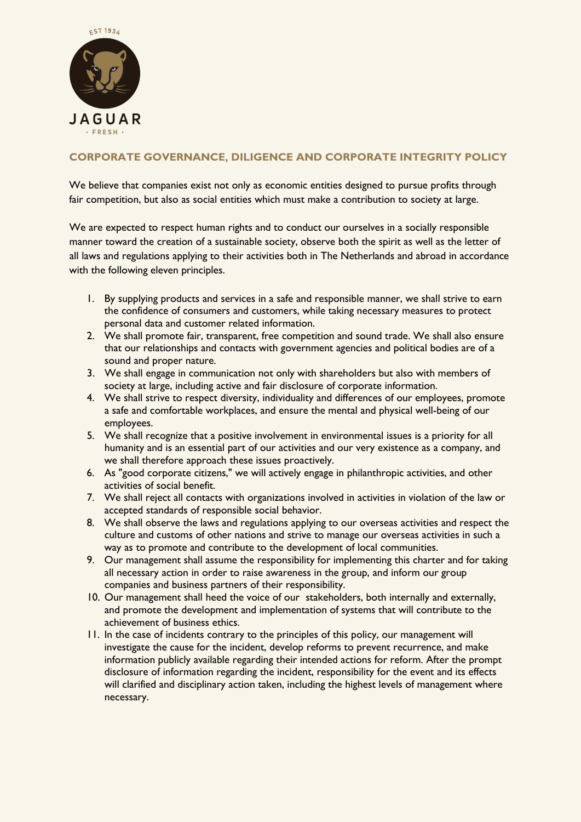

# **CORPORATE GOVERNANCE, DILIGENCE AND CORPORATE INTEGRITY POLICY**

We believe that companies exist not only as economic entities designed to pursue profits through fair competition, but also as social entities which must make a contribution to society at large.

We are expected to respect human rights and to conduct our ourselves in a socially responsible manner toward the creation of a sustainable society, observe both the spirit as well as the letter of all laws and regulations applying to their activities both in The Netherlands and abroad in accordance with the following eleven principles.

- 1. By supplying products and services in a safe and responsible manner, we shall strive to earn the confidence of consumers and customers, while taking necessary measures to protect personal data and customer related information.
- 2. We shall promote fair, transparent, free competition and sound trade. We shall also ensure that our relationships and contacts with government agencies and political bodies are of a sound and proper nature.
- 3. We shall engage in communication not only with shareholders but also with members of society at large, including active and fair disclosure of corporate information.
- 4. We shall strive to respect diversity, individuality and differences of our employees, promote a safe and comfortable workplaces, and ensure the mental and physical well-being of our employees.
- 5. We shall recognize that a positive involvement in environmental issues is a priority for all humanity and is an essential part of our activities and our very existence as a company, and we shall therefore approach these issues proactively.
- 6. As "good corporate citizens," we will actively engage in philanthropic activities, and other activities of social benefit.
- 7. We shall reject all contacts with organizations involved in activities in violation of the law or accepted standards of responsible social behavior.
- 8. We shall observe the laws and regulations applying to our overseas activities and respect the culture and customs of other nations and strive to manage our overseas activities in such a way as to promote and contribute to the development of local communities.
- 9. Our management shall assume the responsibility for implementing this charter and for taking all necessary action in order to raise awareness in the group, and inform our group companies and business partners of their responsibility.
- 10. Our management shall heed the voice of our stakeholders, both internally and externally, and promote the development and implementation of systems that will contribute to the achievement of business ethics.
- 11. In the case of incidents contrary to the principles of this policy, our management will investigate the cause for the incident, develop reforms to prevent recurrence, and make information publicly available regarding their intended actions for reform. After the prompt disclosure of information regarding the incident, responsibility for the event and its effects will clarified and disciplinary action taken, including the highest levels of management where necessary.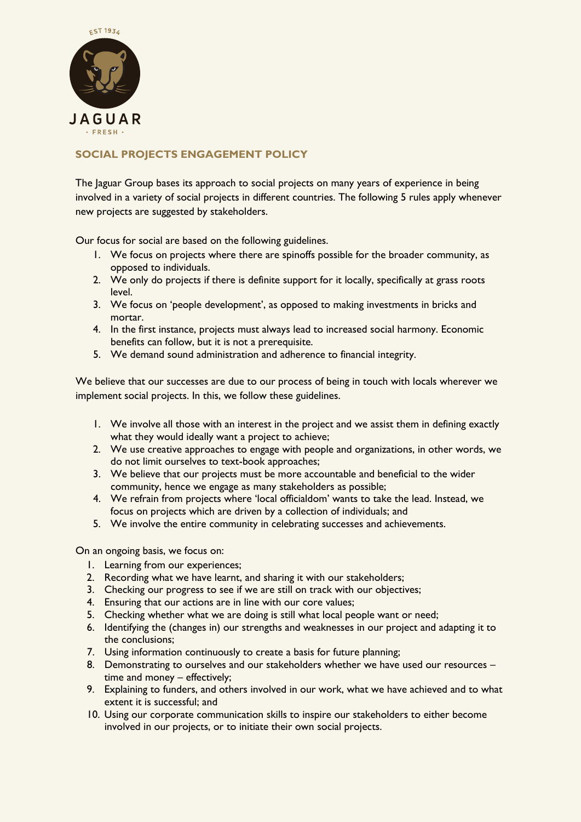

# **SOCIAL PROJECTS ENGAGEMENT POLICY**

The Jaguar Group bases its approach to social projects on many years of experience in being involved in a variety of social projects in different countries. The following 5 rules apply whenever new projects are suggested by stakeholders.

Our focus for social are based on the following guidelines.

- 1. We focus on projects where there are spinoffs possible for the broader community, as opposed to individuals.
- 2. We only do projects if there is definite support for it locally, specifically at grass roots level.
- 3. We focus on 'people development', as opposed to making investments in bricks and mortar.
- 4. In the first instance, projects must always lead to increased social harmony. Economic benefits can follow, but it is not a prerequisite.
- 5. We demand sound administration and adherence to financial integrity.

We believe that our successes are due to our process of being in touch with locals wherever we implement social projects. In this, we follow these guidelines.

- 1. We involve all those with an interest in the project and we assist them in defining exactly what they would ideally want a project to achieve;
- 2. We use creative approaches to engage with people and organizations, in other words, we do not limit ourselves to text-book approaches;
- 3. We believe that our projects must be more accountable and beneficial to the wider community, hence we engage as many stakeholders as possible;
- 4. We refrain from projects where 'local officialdom' wants to take the lead. Instead, we focus on projects which are driven by a collection of individuals; and
- 5. We involve the entire community in celebrating successes and achievements.

On an ongoing basis, we focus on:

- 1. Learning from our experiences;
- 2. Recording what we have learnt, and sharing it with our stakeholders;
- 3. Checking our progress to see if we are still on track with our objectives;
- 4. Ensuring that our actions are in line with our core values;
- 5. Checking whether what we are doing is still what local people want or need;
- 6. Identifying the (changes in) our strengths and weaknesses in our project and adapting it to the conclusions;
- 7. Using information continuously to create a basis for future planning;
- 8. Demonstrating to ourselves and our stakeholders whether we have used our resources time and money – effectively;
- 9. Explaining to funders, and others involved in our work, what we have achieved and to what extent it is successful; and
- 10. Using our corporate communication skills to inspire our stakeholders to either become involved in our projects, or to initiate their own social projects.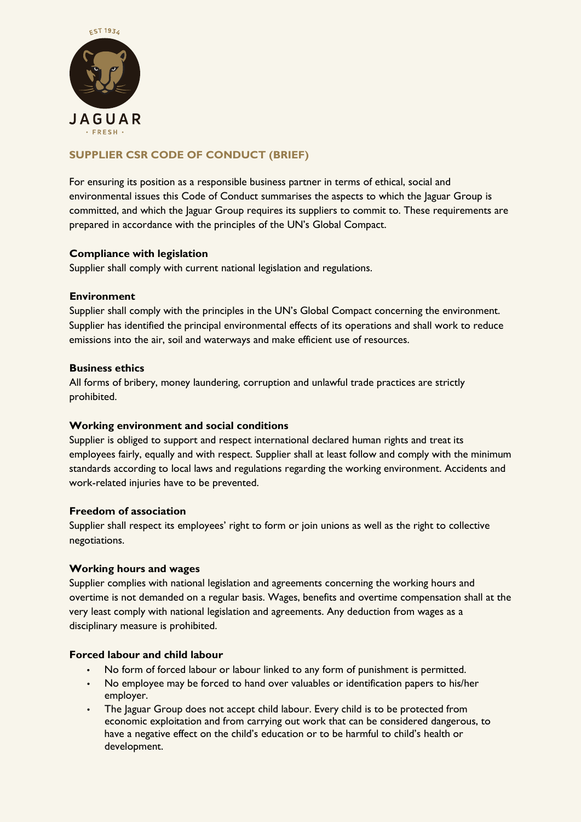

# **SUPPLIER CSR CODE OF CONDUCT (BRIEF)**

For ensuring its position as a responsible business partner in terms of ethical, social and environmental issues this Code of Conduct summarises the aspects to which the Jaguar Group is committed, and which the Jaguar Group requires its suppliers to commit to. These requirements are prepared in accordance with the principles of the UN's Global Compact.

## **Compliance with legislation**

Supplier shall comply with current national legislation and regulations.

## **Environment**

Supplier shall comply with the principles in the UN's Global Compact concerning the environment. Supplier has identified the principal environmental effects of its operations and shall work to reduce emissions into the air, soil and waterways and make efficient use of resources.

## **Business ethics**

All forms of bribery, money laundering, corruption and unlawful trade practices are strictly prohibited.

## **Working environment and social conditions**

Supplier is obliged to support and respect international declared human rights and treat its employees fairly, equally and with respect. Supplier shall at least follow and comply with the minimum standards according to local laws and regulations regarding the working environment. Accidents and work-related injuries have to be prevented.

#### **Freedom of association**

Supplier shall respect its employees' right to form or join unions as well as the right to collective negotiations.

## **Working hours and wages**

Supplier complies with national legislation and agreements concerning the working hours and overtime is not demanded on a regular basis. Wages, benefits and overtime compensation shall at the very least comply with national legislation and agreements. Any deduction from wages as a disciplinary measure is prohibited.

## **Forced labour and child labour**

- No form of forced labour or labour linked to any form of punishment is permitted.
- No employee may be forced to hand over valuables or identification papers to his/her employer.
- The Jaguar Group does not accept child labour. Every child is to be protected from economic exploitation and from carrying out work that can be considered dangerous, to have a negative effect on the child's education or to be harmful to child's health or development.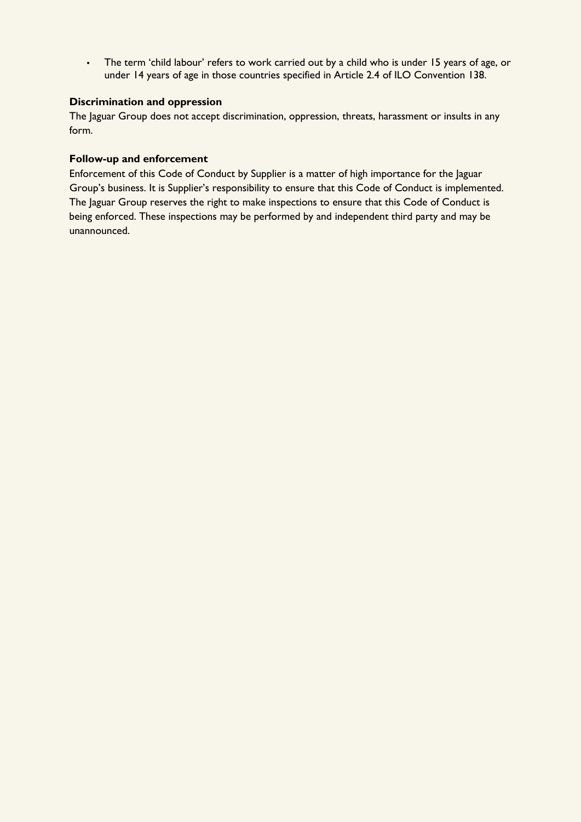• The term 'child labour' refers to work carried out by a child who is under 15 years of age, or under 14 years of age in those countries specified in Article 2.4 of ILO Convention 138.

## **Discrimination and oppression**

The Jaguar Group does not accept discrimination, oppression, threats, harassment or insults in any form.

#### **Follow-up and enforcement**

Enforcement of this Code of Conduct by Supplier is a matter of high importance for the Jaguar Group's business. It is Supplier's responsibility to ensure that this Code of Conduct is implemented. The Jaguar Group reserves the right to make inspections to ensure that this Code of Conduct is being enforced. These inspections may be performed by and independent third party and may be unannounced.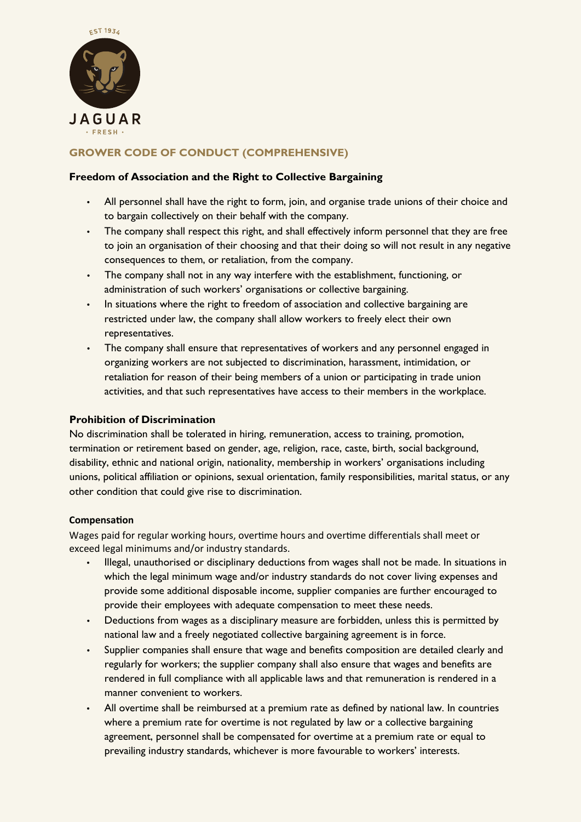

# **GROWER CODE OF CONDUCT (COMPREHENSIVE)**

## **Freedom of Association and the Right to Collective Bargaining**

- All personnel shall have the right to form, join, and organise trade unions of their choice and to bargain collectively on their behalf with the company.
- The company shall respect this right, and shall effectively inform personnel that they are free to join an organisation of their choosing and that their doing so will not result in any negative consequences to them, or retaliation, from the company.
- The company shall not in any way interfere with the establishment, functioning, or administration of such workers' organisations or collective bargaining.
- In situations where the right to freedom of association and collective bargaining are restricted under law, the company shall allow workers to freely elect their own representatives.
- The company shall ensure that representatives of workers and any personnel engaged in organizing workers are not subjected to discrimination, harassment, intimidation, or retaliation for reason of their being members of a union or participating in trade union activities, and that such representatives have access to their members in the workplace.

## **Prohibition of Discrimination**

No discrimination shall be tolerated in hiring, remuneration, access to training, promotion, termination or retirement based on gender, age, religion, race, caste, birth, social background, disability, ethnic and national origin, nationality, membership in workers' organisations including unions, political affiliation or opinions, sexual orientation, family responsibilities, marital status, or any other condition that could give rise to discrimination.

## **Compensa�on**

Wages paid for regular working hours, overtime hours and overtime differentials shall meet or exceed legal minimums and/or industry standards.

- Illegal, unauthorised or disciplinary deductions from wages shall not be made. In situations in which the legal minimum wage and/or industry standards do not cover living expenses and provide some additional disposable income, supplier companies are further encouraged to provide their employees with adequate compensation to meet these needs.
- Deductions from wages as a disciplinary measure are forbidden, unless this is permitted by national law and a freely negotiated collective bargaining agreement is in force.
- Supplier companies shall ensure that wage and benefits composition are detailed clearly and regularly for workers; the supplier company shall also ensure that wages and benefits are rendered in full compliance with all applicable laws and that remuneration is rendered in a manner convenient to workers.
- All overtime shall be reimbursed at a premium rate as defined by national law. In countries where a premium rate for overtime is not regulated by law or a collective bargaining agreement, personnel shall be compensated for overtime at a premium rate or equal to prevailing industry standards, whichever is more favourable to workers' interests.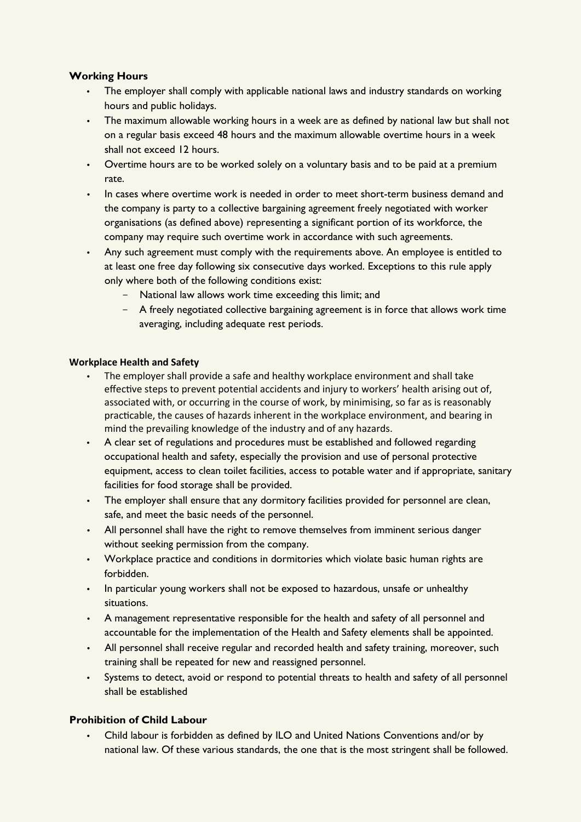## **Working Hours**

- The employer shall comply with applicable national laws and industry standards on working hours and public holidays.
- The maximum allowable working hours in a week are as defined by national law but shall not on a regular basis exceed 48 hours and the maximum allowable overtime hours in a week shall not exceed 12 hours.
- Overtime hours are to be worked solely on a voluntary basis and to be paid at a premium rate.
- In cases where overtime work is needed in order to meet short-term business demand and the company is party to a collective bargaining agreement freely negotiated with worker organisations (as defined above) representing a significant portion of its workforce, the company may require such overtime work in accordance with such agreements.
- Any such agreement must comply with the requirements above. An employee is entitled to at least one free day following six consecutive days worked. Exceptions to this rule apply only where both of the following conditions exist:
	- National law allows work time exceeding this limit; and
	- A freely negotiated collective bargaining agreement is in force that allows work time averaging, including adequate rest periods.

#### **Workplace Health and Safety**

- The employer shall provide a safe and healthy workplace environment and shall take effective steps to prevent potential accidents and injury to workers' health arising out of, associated with, or occurring in the course of work, by minimising, so far as is reasonably prac�cable, the causes of hazards inherent in the workplace environment, and bearing in mind the prevailing knowledge of the industry and of any hazards.
- A clear set of regulations and procedures must be established and followed regarding occupational health and safety, especially the provision and use of personal protective equipment, access to clean toilet facilities, access to potable water and if appropriate, sanitary facilities for food storage shall be provided.
- The employer shall ensure that any dormitory facilities provided for personnel are clean, safe, and meet the basic needs of the personnel.
- All personnel shall have the right to remove themselves from imminent serious danger without seeking permission from the company.
- Workplace practice and conditions in dormitories which violate basic human rights are forbidden.
- In particular young workers shall not be exposed to hazardous, unsafe or unhealthy situations.
- A management representative responsible for the health and safety of all personnel and accountable for the implementation of the Health and Safety elements shall be appointed.
- All personnel shall receive regular and recorded health and safety training, moreover, such training shall be repeated for new and reassigned personnel.
- Systems to detect, avoid or respond to potential threats to health and safety of all personnel shall be established

## **Prohibition of Child Labour**

• Child labour is forbidden as defined by ILO and United Nations Conventions and/or by national law. Of these various standards, the one that is the most stringent shall be followed.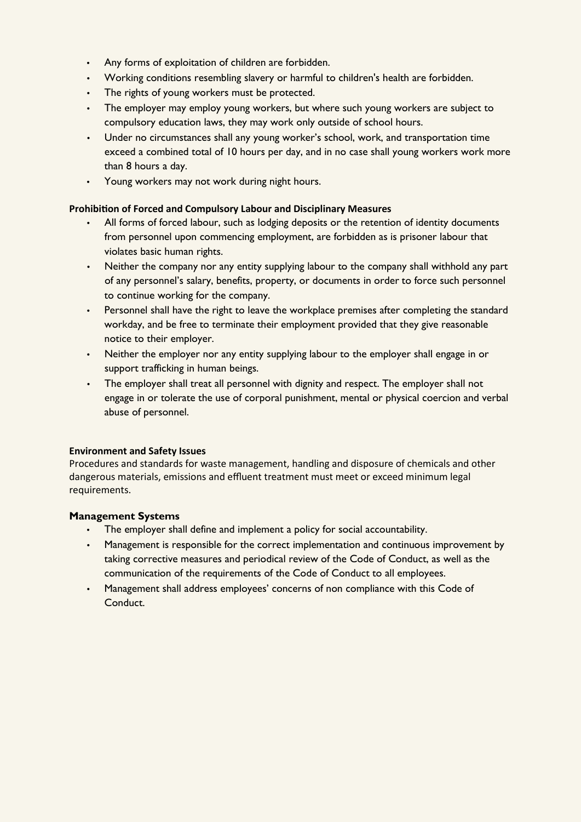- Any forms of exploitation of children are forbidden.
- Working conditions resembling slavery or harmful to children's health are forbidden.
- The rights of young workers must be protected.
- The employer may employ young workers, but where such young workers are subject to compulsory education laws, they may work only outside of school hours.
- Under no circumstances shall any young worker's school, work, and transportation time exceed a combined total of 10 hours per day, and in no case shall young workers work more than 8 hours a day.
- Young workers may not work during night hours.

## **Prohibi�on of Forced and Compulsory Labour and Disciplinary Measures**

- All forms of forced labour, such as lodging deposits or the retention of identity documents from personnel upon commencing employment, are forbidden as is prisoner labour that violates basic human rights.
- Neither the company nor any entity supplying labour to the company shall withhold any part of any personnel's salary, benefits, property, or documents in order to force such personnel to continue working for the company.
- Personnel shall have the right to leave the workplace premises after completing the standard workday, and be free to terminate their employment provided that they give reasonable notice to their employer.
- Neither the employer nor any entity supplying labour to the employer shall engage in or support trafficking in human beings.
- The employer shall treat all personnel with dignity and respect. The employer shall not engage in or tolerate the use of corporal punishment, mental or physical coercion and verbal abuse of personnel.

## **Environment and Safety Issues**

Procedures and standards for waste management, handling and disposure of chemicals and other dangerous materials, emissions and effluent treatment must meet or exceed minimum legal requirements.

## **Management Systems**

- The employer shall define and implement a policy for social accountability.
- Management is responsible for the correct implementation and continuous improvement by taking corrective measures and periodical review of the Code of Conduct, as well as the communication of the requirements of the Code of Conduct to all employees.
- Management shall address employees' concerns of non compliance with this Code of Conduct.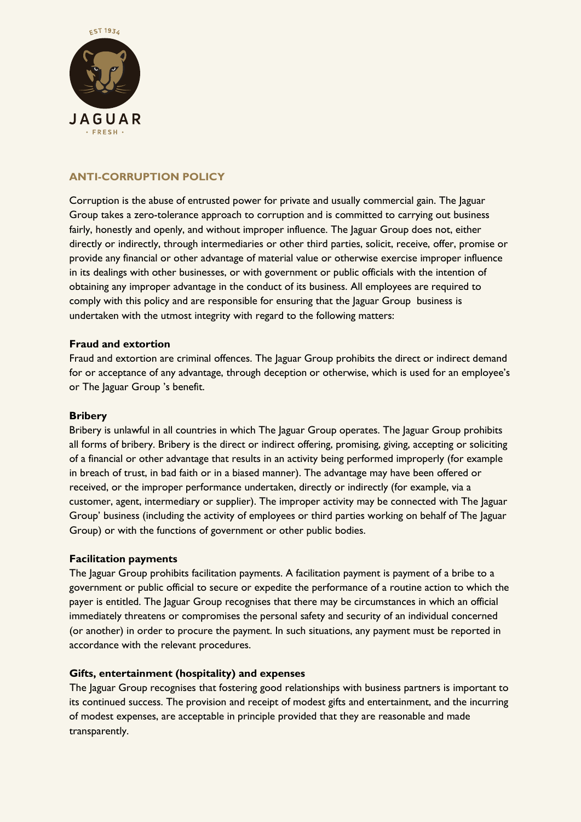

## **ANTI-CORRUPTION POLICY**

Corruption is the abuse of entrusted power for private and usually commercial gain. The Jaguar Group takes a zero-tolerance approach to corruption and is committed to carrying out business fairly, honestly and openly, and without improper influence. The Jaguar Group does not, either directly or indirectly, through intermediaries or other third parties, solicit, receive, offer, promise or provide any financial or other advantage of material value or otherwise exercise improper influence in its dealings with other businesses, or with government or public officials with the intention of obtaining any improper advantage in the conduct of its business. All employees are required to comply with this policy and are responsible for ensuring that the Jaguar Group business is undertaken with the utmost integrity with regard to the following matters:

#### **Fraud and extortion**

Fraud and extortion are criminal offences. The laguar Group prohibits the direct or indirect demand for or acceptance of any advantage, through deception or otherwise, which is used for an employee's or The Jaguar Group 's benefit.

#### **Bribery**

Bribery is unlawful in all countries in which The Jaguar Group operates. The Jaguar Group prohibits all forms of bribery. Bribery is the direct or indirect offering, promising, giving, accepting or soliciting of a financial or other advantage that results in an activity being performed improperly (for example in breach of trust, in bad faith or in a biased manner). The advantage may have been offered or received, or the improper performance undertaken, directly or indirectly (for example, via a customer, agent, intermediary or supplier). The improper activity may be connected with The Jaguar Group' business (including the activity of employees or third parties working on behalf of The Jaguar Group) or with the functions of government or other public bodies.

#### **Facilitation payments**

The Jaguar Group prohibits facilitation payments. A facilitation payment is payment of a bribe to a government or public official to secure or expedite the performance of a routine action to which the payer is entitled. The Jaguar Group recognises that there may be circumstances in which an official immediately threatens or compromises the personal safety and security of an individual concerned (or another) in order to procure the payment. In such situations, any payment must be reported in accordance with the relevant procedures.

## **Gifts, entertainment (hospitality) and expenses**

The Jaguar Group recognises that fostering good relationships with business partners is important to its continued success. The provision and receipt of modest gifts and entertainment, and the incurring of modest expenses, are acceptable in principle provided that they are reasonable and made transparently.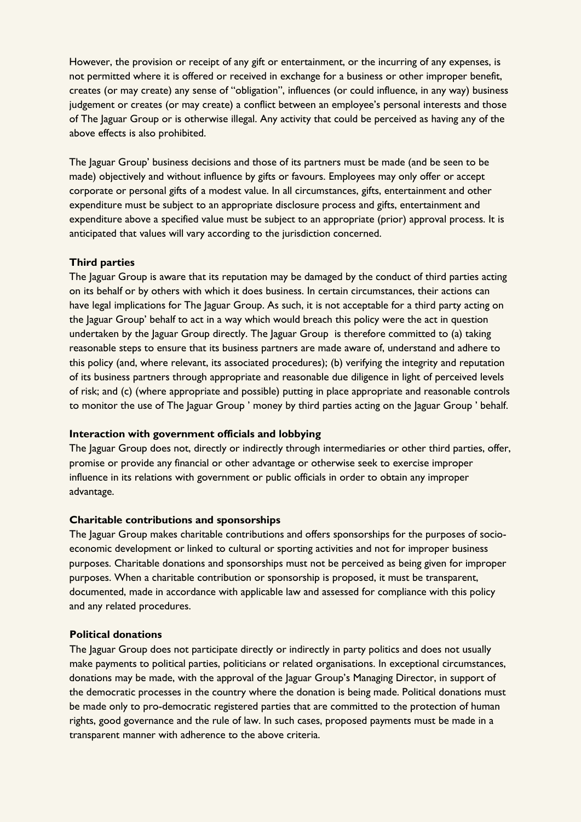However, the provision or receipt of any gift or entertainment, or the incurring of any expenses, is not permitted where it is offered or received in exchange for a business or other improper benefit, creates (or may create) any sense of "obligation", influences (or could influence, in any way) business judgement or creates (or may create) a conflict between an employee's personal interests and those of The Jaguar Group or is otherwise illegal. Any activity that could be perceived as having any of the above effects is also prohibited.

The Jaguar Group' business decisions and those of its partners must be made (and be seen to be made) objectively and without influence by gifts or favours. Employees may only offer or accept corporate or personal gifts of a modest value. In all circumstances, gifts, entertainment and other expenditure must be subject to an appropriate disclosure process and gifts, entertainment and expenditure above a specified value must be subject to an appropriate (prior) approval process. It is anticipated that values will vary according to the jurisdiction concerned.

#### **Third parties**

The Jaguar Group is aware that its reputation may be damaged by the conduct of third parties acting on its behalf or by others with which it does business. In certain circumstances, their actions can have legal implications for The Jaguar Group. As such, it is not acceptable for a third party acting on the Jaguar Group' behalf to act in a way which would breach this policy were the act in question undertaken by the Jaguar Group directly. The Jaguar Group is therefore committed to (a) taking reasonable steps to ensure that its business partners are made aware of, understand and adhere to this policy (and, where relevant, its associated procedures); (b) verifying the integrity and reputation of its business partners through appropriate and reasonable due diligence in light of perceived levels of risk; and (c) (where appropriate and possible) putting in place appropriate and reasonable controls to monitor the use of The Jaguar Group ' money by third parties acting on the Jaguar Group ' behalf.

#### **Interaction with government officials and lobbying**

The Jaguar Group does not, directly or indirectly through intermediaries or other third parties, offer, promise or provide any financial or other advantage or otherwise seek to exercise improper influence in its relations with government or public officials in order to obtain any improper advantage.

#### **Charitable contributions and sponsorships**

The Jaguar Group makes charitable contributions and offers sponsorships for the purposes of socioeconomic development or linked to cultural or sporting activities and not for improper business purposes. Charitable donations and sponsorships must not be perceived as being given for improper purposes. When a charitable contribution or sponsorship is proposed, it must be transparent, documented, made in accordance with applicable law and assessed for compliance with this policy and any related procedures.

#### **Political donations**

The Jaguar Group does not participate directly or indirectly in party politics and does not usually make payments to political parties, politicians or related organisations. In exceptional circumstances, donations may be made, with the approval of the Jaguar Group's Managing Director, in support of the democratic processes in the country where the donation is being made. Political donations must be made only to pro-democratic registered parties that are committed to the protection of human rights, good governance and the rule of law. In such cases, proposed payments must be made in a transparent manner with adherence to the above criteria.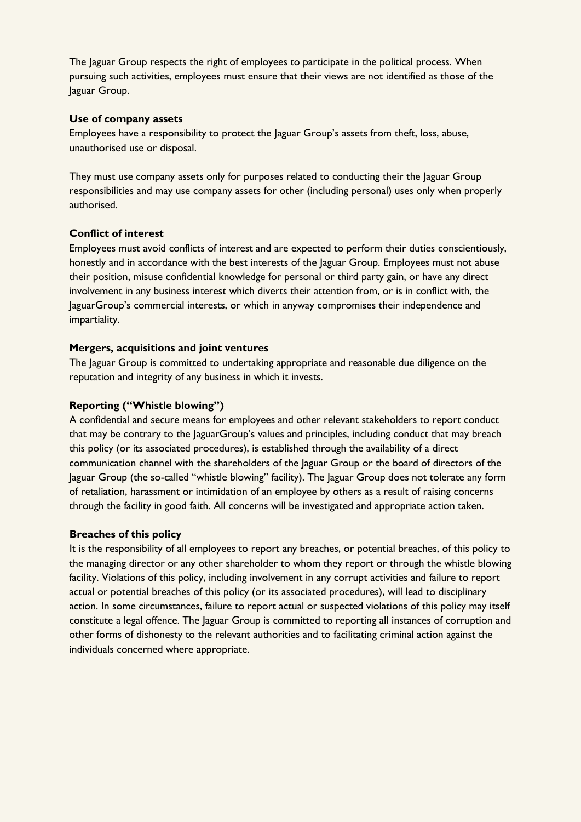The Jaguar Group respects the right of employees to participate in the political process. When pursuing such activities, employees must ensure that their views are not identified as those of the Jaguar Group.

#### **Use of company assets**

Employees have a responsibility to protect the Jaguar Group's assets from theft, loss, abuse, unauthorised use or disposal.

They must use company assets only for purposes related to conducting their the Jaguar Group responsibilities and may use company assets for other (including personal) uses only when properly authorised.

## **Conflict of interest**

Employees must avoid conflicts of interest and are expected to perform their duties conscientiously, honestly and in accordance with the best interests of the Jaguar Group. Employees must not abuse their position, misuse confidential knowledge for personal or third party gain, or have any direct involvement in any business interest which diverts their attention from, or is in conflict with, the JaguarGroup's commercial interests, or which in anyway compromises their independence and impartiality.

## **Mergers, acquisitions and joint ventures**

The Jaguar Group is committed to undertaking appropriate and reasonable due diligence on the reputation and integrity of any business in which it invests.

## **Reporting ("Whistle blowing")**

A confidential and secure means for employees and other relevant stakeholders to report conduct that may be contrary to the JaguarGroup's values and principles, including conduct that may breach this policy (or its associated procedures), is established through the availability of a direct communication channel with the shareholders of the Jaguar Group or the board of directors of the Jaguar Group (the so-called "whistle blowing" facility). The Jaguar Group does not tolerate any form of retaliation, harassment or intimidation of an employee by others as a result of raising concerns through the facility in good faith. All concerns will be investigated and appropriate action taken.

## **Breaches of this policy**

It is the responsibility of all employees to report any breaches, or potential breaches, of this policy to the managing director or any other shareholder to whom they report or through the whistle blowing facility. Violations of this policy, including involvement in any corrupt activities and failure to report actual or potential breaches of this policy (or its associated procedures), will lead to disciplinary action. In some circumstances, failure to report actual or suspected violations of this policy may itself constitute a legal offence. The Jaguar Group is committed to reporting all instances of corruption and other forms of dishonesty to the relevant authorities and to facilitating criminal action against the individuals concerned where appropriate.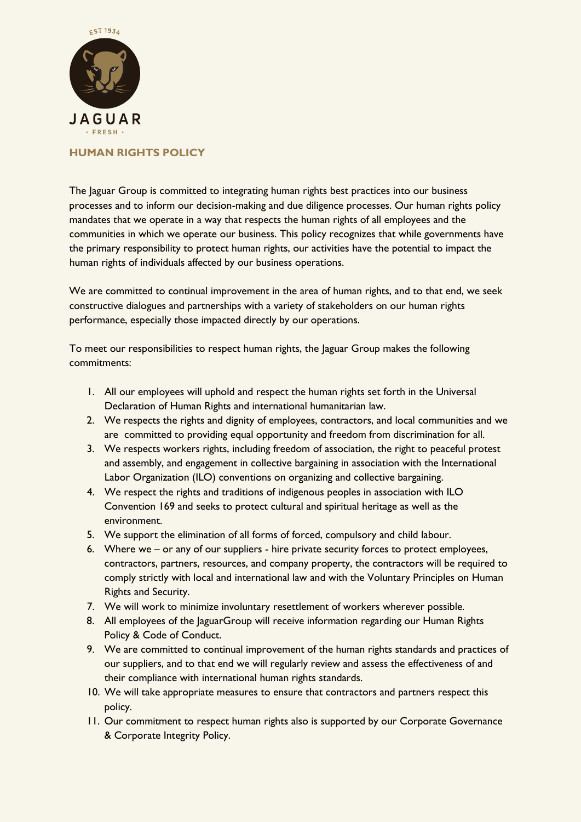

## **HUMAN RIGHTS POLICY**

The Jaguar Group is committed to integrating human rights best practices into our business processes and to inform our decision-making and due diligence processes. Our human rights policy mandates that we operate in a way that respects the human rights of all employees and the communities in which we operate our business. This policy recognizes that while governments have the primary responsibility to protect human rights, our activities have the potential to impact the human rights of individuals affected by our business operations.

We are committed to continual improvement in the area of human rights, and to that end, we seek constructive dialogues and partnerships with a variety of stakeholders on our human rights performance, especially those impacted directly by our operations.

To meet our responsibilities to respect human rights, the Jaguar Group makes the following commitments:

- 1. All our employees will uphold and respect the human rights set forth in the Universal Declaration of Human Rights and international humanitarian law.
- 2. We respects the rights and dignity of employees, contractors, and local communities and we are committed to providing equal opportunity and freedom from discrimination for all.
- 3. We respects workers rights, including freedom of association, the right to peaceful protest and assembly, and engagement in collective bargaining in association with the International Labor Organization (ILO) conventions on organizing and collective bargaining.
- 4. We respect the rights and traditions of indigenous peoples in association with ILO Convention 169 and seeks to protect cultural and spiritual heritage as well as the environment.
- 5. We support the elimination of all forms of forced, compulsory and child labour.
- 6. Where we or any of our suppliers hire private security forces to protect employees, contractors, partners, resources, and company property, the contractors will be required to comply strictly with local and international law and with the Voluntary Principles on Human Rights and Security.
- 7. We will work to minimize involuntary resettlement of workers wherever possible.
- 8. All employees of the JaguarGroup will receive information regarding our Human Rights Policy & Code of Conduct.
- 9. We are committed to continual improvement of the human rights standards and practices of our suppliers, and to that end we will regularly review and assess the effectiveness of and their compliance with international human rights standards.
- 10. We will take appropriate measures to ensure that contractors and partners respect this policy.
- 11. Our commitment to respect human rights also is supported by our Corporate Governance & Corporate Integrity Policy.